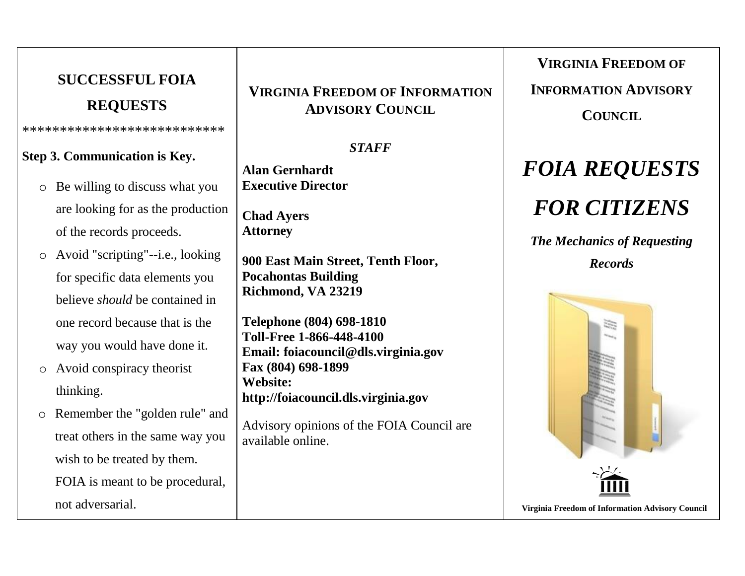## **SUCCESSFUL FOIA REQUESTS** \*\*\*\*\*\*\*\*\*\*\*\*\*\*\*\*\*\*\*\*\*\*\*\*\*\*\* **Step 3. Communication is Key.** o Be willing to discuss what you are looking for as the production of the records proceeds. o Avoid "scripting"--i.e., looking for specific data elements you believe *should* be contained in one record because that is the way you would have done it. o Avoid conspiracy theorist thinking. o Remember the "golden rule" and treat others in the same way you

FOIA is meant to be procedural,

wish to be treated by them.

not adversarial.

**VIRGINIA FREEDOM OF INFORMATION ADVISORY COUNCIL**

*STAFF*

**Alan Gernhardt Executive Director** 

**Chad Ayers Attorney**

**900 East Main Street, Tenth Floor, Pocahontas Building Richmond, VA 23219**

**Telephone (804) 698-1810 Toll-Free 1-866-448-4100 Email: [foiacouncil@d](mailto:foiacouncil@leg.state.va.us)ls.virginia.gov Fax (804) 698-1899 Website: http://foiacouncil.dls.virginia.gov**

Advisory opinions of the FOIA Council are available online.

**VIRGINIA FREEDOM OF** 

**INFORMATION ADVISORY** 

**COUNCIL**

# *FOIA REQUESTS*

## *FOR CITIZENS*

*The Mechanics of Requesting Records*